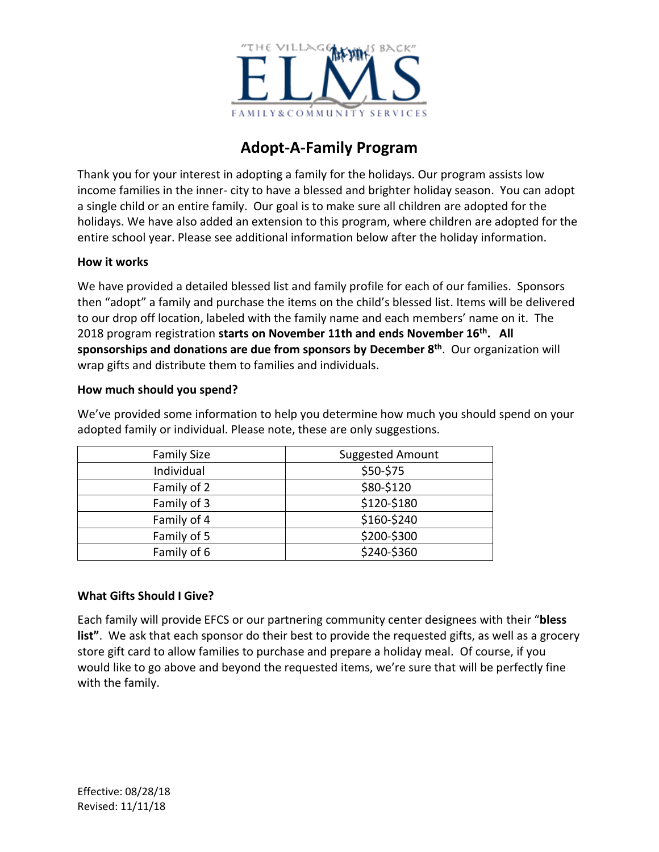

# **Adopt-A-Family Program**

Thank you for your interest in adopting a family for the holidays. Our program assists low income families in the inner- city to have a blessed and brighter holiday season. You can adopt a single child or an entire family. Our goal is to make sure all children are adopted for the holidays. We have also added an extension to this program, where children are adopted for the entire school year. Please see additional information below after the holiday information.

#### **How it works**

We have provided a detailed blessed list and family profile for each of our families. Sponsors then "adopt" a family and purchase the items on the child's blessed list. Items will be delivered to our drop off location, labeled with the family name and each members' name on it. The 2018 program registration **starts on November 11th and ends November 16th. All sponsorships and donations are due from sponsors by December 8th** . Our organization will wrap gifts and distribute them to families and individuals.

#### **How much should you spend?**

We've provided some information to help you determine how much you should spend on your adopted family or individual. Please note, these are only suggestions.

| <b>Family Size</b> | <b>Suggested Amount</b> |
|--------------------|-------------------------|
| Individual         | \$50-\$75               |
| Family of 2        | \$80-\$120              |
| Family of 3        | \$120-\$180             |
| Family of 4        | \$160-\$240             |
| Family of 5        | \$200-\$300             |
| Family of 6        | \$240-\$360             |

## **What Gifts Should I Give?**

Each family will provide EFCS or our partnering community center designees with their "**bless list"**. We ask that each sponsor do their best to provide the requested gifts, as well as a grocery store gift card to allow families to purchase and prepare a holiday meal. Of course, if you would like to go above and beyond the requested items, we're sure that will be perfectly fine with the family.